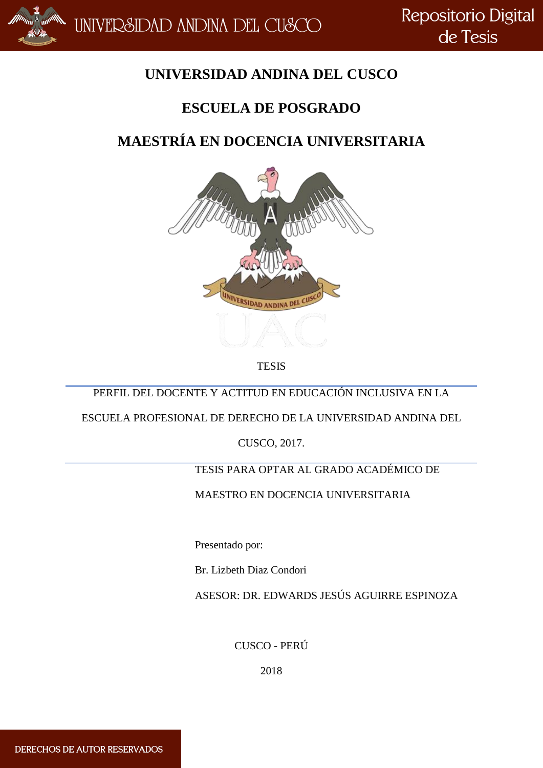

## **UNIVERSIDAD ANDINA DEL CUSCO**

## **ESCUELA DE POSGRADO**

# **MAESTRÍA EN DOCENCIA UNIVERSITARIA**



**TESIS** 

PERFIL DEL DOCENTE Y ACTITUD EN EDUCACIÓN INCLUSIVA EN LA

ESCUELA PROFESIONAL DE DERECHO DE LA UNIVERSIDAD ANDINA DEL

CUSCO, 2017.

### TESIS PARA OPTAR AL GRADO ACADÉMICO DE

MAESTRO EN DOCENCIA UNIVERSITARIA

Presentado por:

Br. Lizbeth Diaz Condori

ASESOR: DR. EDWARDS JESÚS AGUIRRE ESPINOZA

CUSCO - PERÚ

2018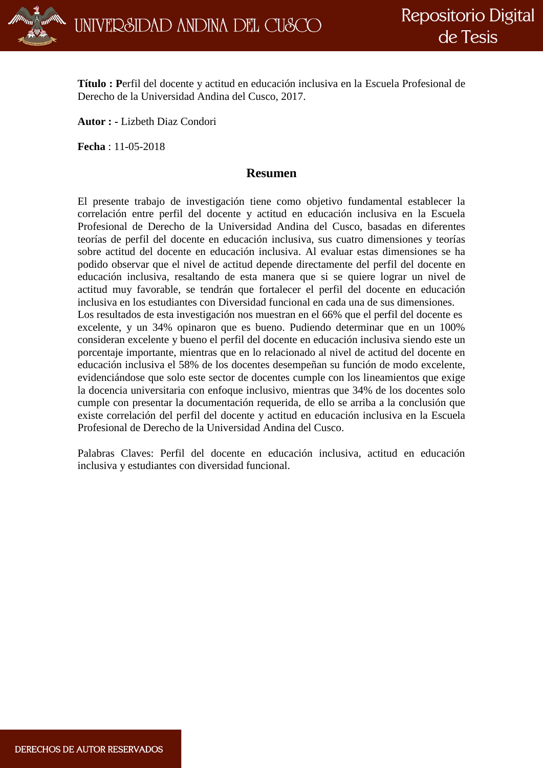

**Título : P**erfil del docente y actitud en educación inclusiva en la Escuela Profesional de Derecho de la Universidad Andina del Cusco, 2017.

**Autor : -** Lizbeth Diaz Condori

**Fecha** : 11-05-2018

#### **Resumen**

El presente trabajo de investigación tiene como objetivo fundamental establecer la correlación entre perfil del docente y actitud en educación inclusiva en la Escuela Profesional de Derecho de la Universidad Andina del Cusco, basadas en diferentes teorías de perfil del docente en educación inclusiva, sus cuatro dimensiones y teorías sobre actitud del docente en educación inclusiva. Al evaluar estas dimensiones se ha podido observar que el nivel de actitud depende directamente del perfil del docente en educación inclusiva, resaltando de esta manera que si se quiere lograr un nivel de actitud muy favorable, se tendrán que fortalecer el perfil del docente en educación inclusiva en los estudiantes con Diversidad funcional en cada una de sus dimensiones. Los resultados de esta investigación nos muestran en el 66% que el perfil del docente es excelente, y un 34% opinaron que es bueno. Pudiendo determinar que en un 100% consideran excelente y bueno el perfil del docente en educación inclusiva siendo este un porcentaje importante, mientras que en lo relacionado al nivel de actitud del docente en educación inclusiva el 58% de los docentes desempeñan su función de modo excelente, evidenciándose que solo este sector de docentes cumple con los lineamientos que exige la docencia universitaria con enfoque inclusivo, mientras que 34% de los docentes solo cumple con presentar la documentación requerida, de ello se arriba a la conclusión que existe correlación del perfil del docente y actitud en educación inclusiva en la Escuela Profesional de Derecho de la Universidad Andina del Cusco.

Palabras Claves: Perfil del docente en educación inclusiva, actitud en educación inclusiva y estudiantes con diversidad funcional.